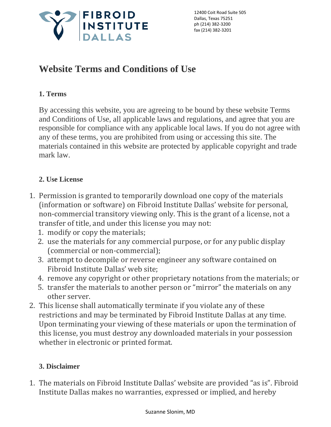

12400 Coit Road Suite 505 Dallas, Texas 75251 ph (214) 382-3200 fax (214) 382-3201

# **Website Terms and Conditions of Use**

# **1. Terms**

By accessing this website, you are agreeing to be bound by these website Terms and Conditions of Use, all applicable laws and regulations, and agree that you are responsible for compliance with any applicable local laws. If you do not agree with any of these terms, you are prohibited from using or accessing this site. The materials contained in this website are protected by applicable copyright and trade mark law.

# **2. Use License**

- 1. Permission is granted to temporarily download one copy of the materials (information or software) on Fibroid Institute Dallas' website for personal, non-commercial transitory viewing only. This is the grant of a license, not a transfer of title, and under this license you may not:
	- 1. modify or copy the materials;
	- 2. use the materials for any commercial purpose, or for any public display (commercial or non-commercial);
	- 3. attempt to decompile or reverse engineer any software contained on Fibroid Institute Dallas' web site;
	- 4. remove any copyright or other proprietary notations from the materials; or
	- 5. transfer the materials to another person or "mirror" the materials on any other server.
- 2. This license shall automatically terminate if you violate any of these restrictions and may be terminated by Fibroid Institute Dallas at any time. Upon terminating your viewing of these materials or upon the termination of this license, you must destroy any downloaded materials in your possession whether in electronic or printed format.

## **3. Disclaimer**

1. The materials on Fibroid Institute Dallas' website are provided "as is". Fibroid Institute Dallas makes no warranties, expressed or implied, and hereby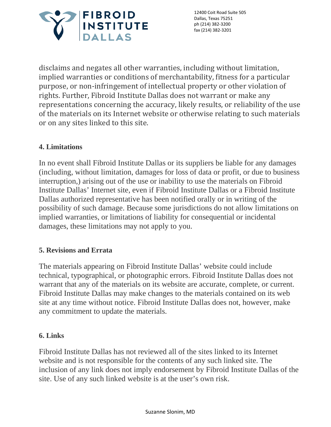

12400 Coit Road Suite 505 Dallas, Texas 75251 ph (214) 382-3200 fax (214) 382-3201

disclaims and negates all other warranties, including without limitation, implied warranties or conditions of merchantability, fitness for a particular purpose, or non-infringement of intellectual property or other violation of rights. Further, Fibroid Institute Dallas does not warrant or make any representations concerning the accuracy, likely results, or reliability of the use of the materials on its Internet website or otherwise relating to such materials or on any sites linked to this site.

## **4. Limitations**

In no event shall Fibroid Institute Dallas or its suppliers be liable for any damages (including, without limitation, damages for loss of data or profit, or due to business interruption,) arising out of the use or inability to use the materials on Fibroid Institute Dallas' Internet site, even if Fibroid Institute Dallas or a Fibroid Institute Dallas authorized representative has been notified orally or in writing of the possibility of such damage. Because some jurisdictions do not allow limitations on implied warranties, or limitations of liability for consequential or incidental damages, these limitations may not apply to you.

### **5. Revisions and Errata**

The materials appearing on Fibroid Institute Dallas' website could include technical, typographical, or photographic errors. Fibroid Institute Dallas does not warrant that any of the materials on its website are accurate, complete, or current. Fibroid Institute Dallas may make changes to the materials contained on its web site at any time without notice. Fibroid Institute Dallas does not, however, make any commitment to update the materials.

#### **6. Links**

Fibroid Institute Dallas has not reviewed all of the sites linked to its Internet website and is not responsible for the contents of any such linked site. The inclusion of any link does not imply endorsement by Fibroid Institute Dallas of the site. Use of any such linked website is at the user's own risk.